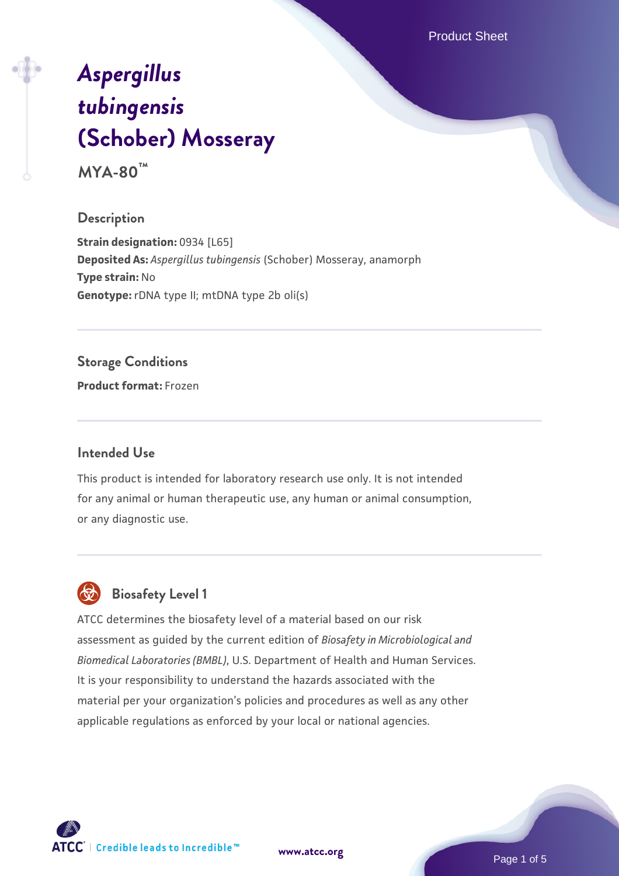Product Sheet

# *[Aspergillus](https://www.atcc.org/products/mya-80) [tubingensis](https://www.atcc.org/products/mya-80)* **[\(Schober\) Mosseray](https://www.atcc.org/products/mya-80)**

**MYA-80™**

## **Description**

**Strain designation: 0934 [L65] Deposited As:** *Aspergillus tubingensis* (Schober) Mosseray, anamorph **Type strain:** No **Genotype:** rDNA type II; mtDNA type 2b oli(s)

## **Storage Conditions**

**Product format:** Frozen

## **Intended Use**

This product is intended for laboratory research use only. It is not intended for any animal or human therapeutic use, any human or animal consumption, or any diagnostic use.

## **Biosafety Level 1**

ATCC determines the biosafety level of a material based on our risk assessment as guided by the current edition of *Biosafety in Microbiological and Biomedical Laboratories (BMBL)*, U.S. Department of Health and Human Services. It is your responsibility to understand the hazards associated with the material per your organization's policies and procedures as well as any other applicable regulations as enforced by your local or national agencies.

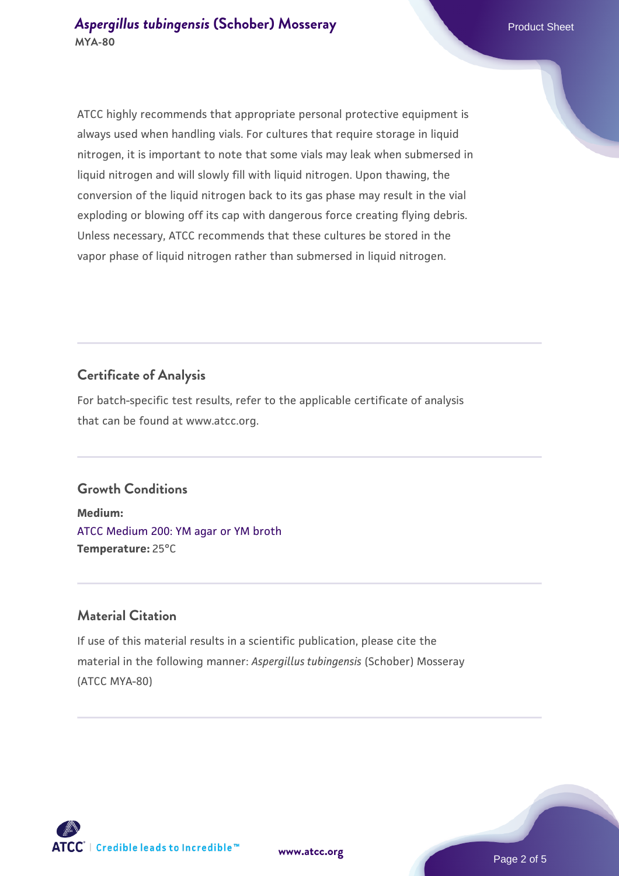ATCC highly recommends that appropriate personal protective equipment is always used when handling vials. For cultures that require storage in liquid nitrogen, it is important to note that some vials may leak when submersed in liquid nitrogen and will slowly fill with liquid nitrogen. Upon thawing, the conversion of the liquid nitrogen back to its gas phase may result in the vial exploding or blowing off its cap with dangerous force creating flying debris. Unless necessary, ATCC recommends that these cultures be stored in the vapor phase of liquid nitrogen rather than submersed in liquid nitrogen.

## **Certificate of Analysis**

For batch-specific test results, refer to the applicable certificate of analysis that can be found at www.atcc.org.

## **Growth Conditions**

**Medium:**  [ATCC Medium 200: YM agar or YM broth](https://www.atcc.org/-/media/product-assets/documents/microbial-media-formulations/2/0/0/atcc-medium-200.pdf?rev=ac40fd74dc13433a809367b0b9da30fc) **Temperature:** 25°C

## **Material Citation**

If use of this material results in a scientific publication, please cite the material in the following manner: *Aspergillus tubingensis* (Schober) Mosseray (ATCC MYA-80)

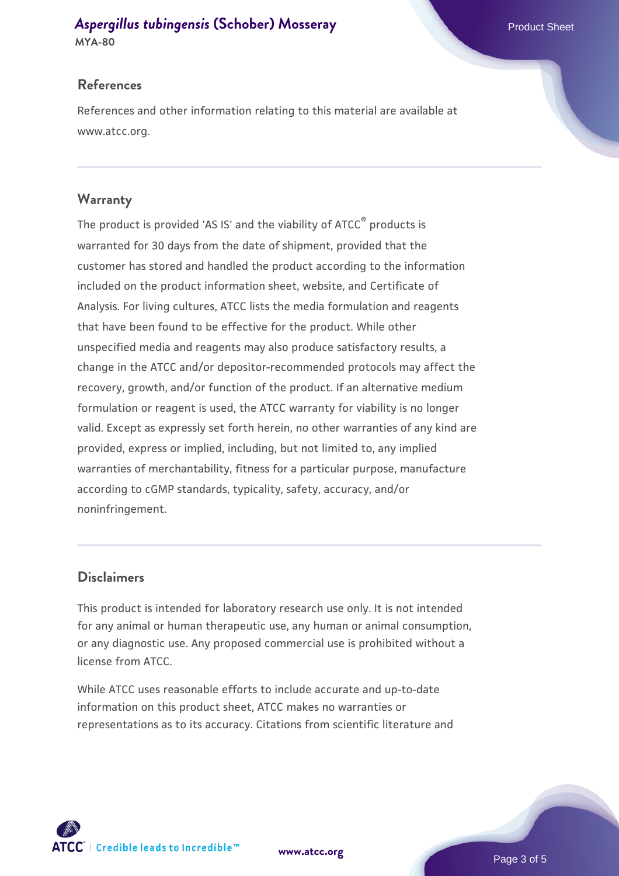## **[Aspergillus tubingensis](https://www.atcc.org/products/mya-80) [\(Schober\) Mosseray](https://www.atcc.org/products/mya-80) Product Sheet** Product Sheet

**MYA-80**

References and other information relating to this material are available at www.atcc.org.

## **Warranty**

The product is provided 'AS IS' and the viability of ATCC® products is warranted for 30 days from the date of shipment, provided that the customer has stored and handled the product according to the information included on the product information sheet, website, and Certificate of Analysis. For living cultures, ATCC lists the media formulation and reagents that have been found to be effective for the product. While other unspecified media and reagents may also produce satisfactory results, a change in the ATCC and/or depositor-recommended protocols may affect the recovery, growth, and/or function of the product. If an alternative medium formulation or reagent is used, the ATCC warranty for viability is no longer valid. Except as expressly set forth herein, no other warranties of any kind are provided, express or implied, including, but not limited to, any implied warranties of merchantability, fitness for a particular purpose, manufacture according to cGMP standards, typicality, safety, accuracy, and/or noninfringement.

## **Disclaimers**

This product is intended for laboratory research use only. It is not intended for any animal or human therapeutic use, any human or animal consumption, or any diagnostic use. Any proposed commercial use is prohibited without a license from ATCC.

While ATCC uses reasonable efforts to include accurate and up-to-date information on this product sheet, ATCC makes no warranties or representations as to its accuracy. Citations from scientific literature and







Page 3 of 5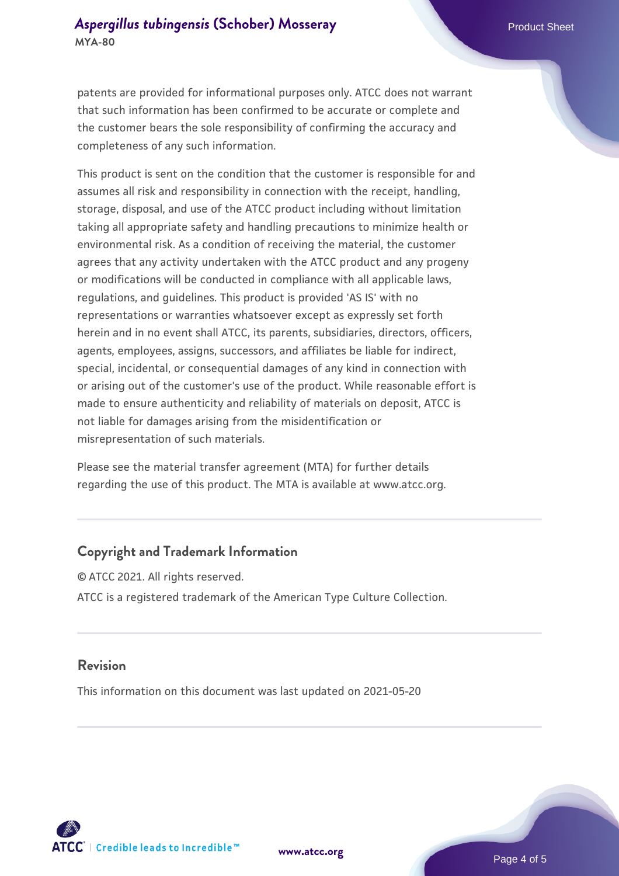## **[Aspergillus tubingensis](https://www.atcc.org/products/mya-80) [\(Schober\) Mosseray](https://www.atcc.org/products/mya-80) Product Sheet** Product Sheet **MYA-80**

patents are provided for informational purposes only. ATCC does not warrant that such information has been confirmed to be accurate or complete and the customer bears the sole responsibility of confirming the accuracy and completeness of any such information.

This product is sent on the condition that the customer is responsible for and assumes all risk and responsibility in connection with the receipt, handling, storage, disposal, and use of the ATCC product including without limitation taking all appropriate safety and handling precautions to minimize health or environmental risk. As a condition of receiving the material, the customer agrees that any activity undertaken with the ATCC product and any progeny or modifications will be conducted in compliance with all applicable laws, regulations, and guidelines. This product is provided 'AS IS' with no representations or warranties whatsoever except as expressly set forth herein and in no event shall ATCC, its parents, subsidiaries, directors, officers, agents, employees, assigns, successors, and affiliates be liable for indirect, special, incidental, or consequential damages of any kind in connection with or arising out of the customer's use of the product. While reasonable effort is made to ensure authenticity and reliability of materials on deposit, ATCC is not liable for damages arising from the misidentification or misrepresentation of such materials.

Please see the material transfer agreement (MTA) for further details regarding the use of this product. The MTA is available at www.atcc.org.

## **Copyright and Trademark Information**

© ATCC 2021. All rights reserved. ATCC is a registered trademark of the American Type Culture Collection.

#### **Revision**

This information on this document was last updated on 2021-05-20